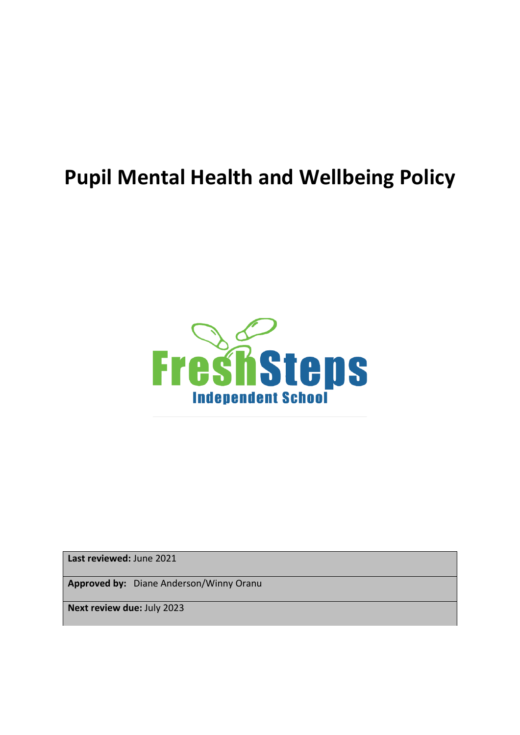# **Pupil Mental Health and Wellbeing Policy**



**Last reviewed:** June 2021

**Approved by:** Diane Anderson/Winny Oranu

**Next review due:** July 2023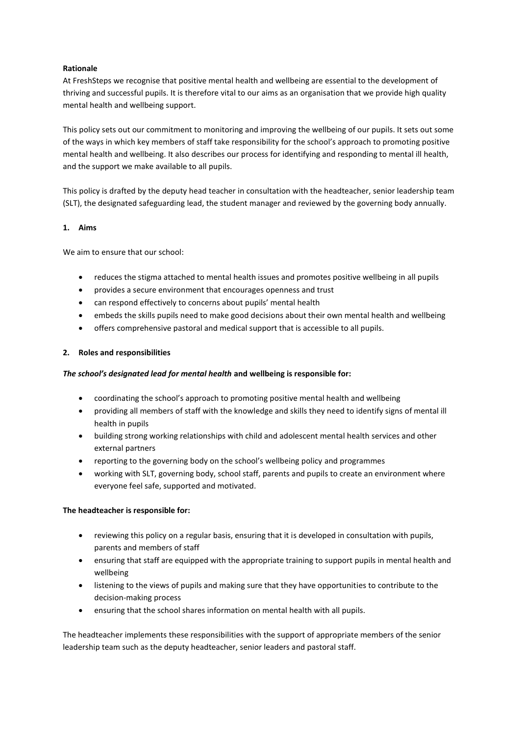## **Rationale**

At FreshSteps we recognise that positive mental health and wellbeing are essential to the development of thriving and successful pupils. It is therefore vital to our aims as an organisation that we provide high quality mental health and wellbeing support.

This policy sets out our commitment to monitoring and improving the wellbeing of our pupils. It sets out some of the ways in which key members of staff take responsibility for the school's approach to promoting positive mental health and wellbeing. It also describes our process for identifying and responding to mental ill health, and the support we make available to all pupils.

This policy is drafted by the deputy head teacher in consultation with the headteacher, senior leadership team (SLT), the designated safeguarding lead, the student manager and reviewed by the governing body annually.

## **1. Aims**

We aim to ensure that our school:

- reduces the stigma attached to mental health issues and promotes positive wellbeing in all pupils
- provides a secure environment that encourages openness and trust
- can respond effectively to concerns about pupils' mental health
- embeds the skills pupils need to make good decisions about their own mental health and wellbeing
- offers comprehensive pastoral and medical support that is accessible to all pupils.

## **2. Roles and responsibilities**

## *The school's designated lead for mental health* **and wellbeing is responsible for:**

- coordinating the school's approach to promoting positive mental health and wellbeing
- providing all members of staff with the knowledge and skills they need to identify signs of mental ill health in pupils
- building strong working relationships with child and adolescent mental health services and other external partners
- reporting to the governing body on the school's wellbeing policy and programmes
- working with SLT, governing body, school staff, parents and pupils to create an environment where everyone feel safe, supported and motivated.

## **The headteacher is responsible for:**

- reviewing this policy on a regular basis, ensuring that it is developed in consultation with pupils, parents and members of staff
- ensuring that staff are equipped with the appropriate training to support pupils in mental health and wellbeing
- listening to the views of pupils and making sure that they have opportunities to contribute to the decision-making process
- ensuring that the school shares information on mental health with all pupils.

The headteacher implements these responsibilities with the support of appropriate members of the senior leadership team such as the deputy headteacher, senior leaders and pastoral staff.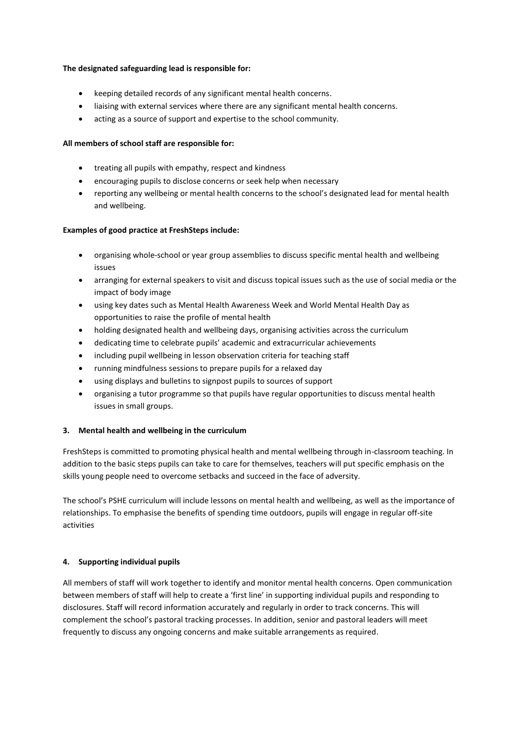## **The designated safeguarding lead is responsible for:**

- keeping detailed records of any significant mental health concerns.
- liaising with external services where there are any significant mental health concerns.
- acting as a source of support and expertise to the school community.

# **All members of school staff are responsible for:**

- treating all pupils with empathy, respect and kindness
- encouraging pupils to disclose concerns or seek help when necessary
- reporting any wellbeing or mental health concerns to the school's designated lead for mental health and wellbeing.

## **Examples of good practice at FreshSteps include:**

- organising whole-school or year group assemblies to discuss specific mental health and wellbeing issues
- arranging for external speakers to visit and discuss topical issues such as the use of social media or the impact of body image
- using key dates such as Mental Health Awareness Week and World Mental Health Day as opportunities to raise the profile of mental health
- holding designated health and wellbeing days, organising activities across the curriculum
- dedicating time to celebrate pupils' academic and extracurricular achievements
- including pupil wellbeing in lesson observation criteria for teaching staff
- running mindfulness sessions to prepare pupils for a relaxed day
- using displays and bulletins to signpost pupils to sources of support
- organising a tutor programme so that pupils have regular opportunities to discuss mental health issues in small groups.

## **3. Mental health and wellbeing in the curriculum**

FreshSteps is committed to promoting physical health and mental wellbeing through in-classroom teaching. In addition to the basic steps pupils can take to care for themselves, teachers will put specific emphasis on the skills young people need to overcome setbacks and succeed in the face of adversity.

The school's PSHE curriculum will include lessons on mental health and wellbeing, as well as the importance of relationships. To emphasise the benefits of spending time outdoors, pupils will engage in regular off-site activities

## **4. Supporting individual pupils**

All members of staff will work together to identify and monitor mental health concerns. Open communication between members of staff will help to create a 'first line' in supporting individual pupils and responding to disclosures. Staff will record information accurately and regularly in order to track concerns. This will complement the school's pastoral tracking processes. In addition, senior and pastoral leaders will meet frequently to discuss any ongoing concerns and make suitable arrangements as required.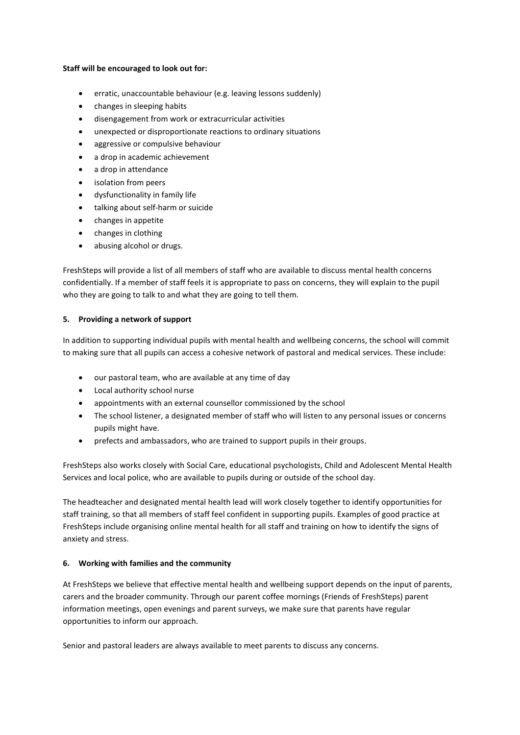## **Staff will be encouraged to look out for:**

- erratic, unaccountable behaviour (e.g. leaving lessons suddenly)
- changes in sleeping habits
- disengagement from work or extracurricular activities
- unexpected or disproportionate reactions to ordinary situations
- aggressive or compulsive behaviour
- a drop in academic achievement
- a drop in attendance
- isolation from peers
- dysfunctionality in family life
- talking about self-harm or suicide
- changes in appetite
- changes in clothing
- abusing alcohol or drugs.

FreshSteps will provide a list of all members of staff who are available to discuss mental health concerns confidentially. If a member of staff feels it is appropriate to pass on concerns, they will explain to the pupil who they are going to talk to and what they are going to tell them.

# **5. Providing a network of support**

In addition to supporting individual pupils with mental health and wellbeing concerns, the school will commit to making sure that all pupils can access a cohesive network of pastoral and medical services. These include:

- our pastoral team, who are available at any time of day
- Local authority school nurse
- appointments with an external counsellor commissioned by the school
- The school listener, a designated member of staff who will listen to any personal issues or concerns pupils might have.
- prefects and ambassadors, who are trained to support pupils in their groups.

FreshSteps also works closely with Social Care, educational psychologists, Child and Adolescent Mental Health Services and local police, who are available to pupils during or outside of the school day.

The headteacher and designated mental health lead will work closely together to identify opportunities for staff training, so that all members of staff feel confident in supporting pupils. Examples of good practice at FreshSteps include organising online mental health for all staff and training on how to identify the signs of anxiety and stress.

# **6. Working with families and the community**

At FreshSteps we believe that effective mental health and wellbeing support depends on the input of parents, carers and the broader community. Through our parent coffee mornings (Friends of FreshSteps) parent information meetings, open evenings and parent surveys, we make sure that parents have regular opportunities to inform our approach.

Senior and pastoral leaders are always available to meet parents to discuss any concerns.